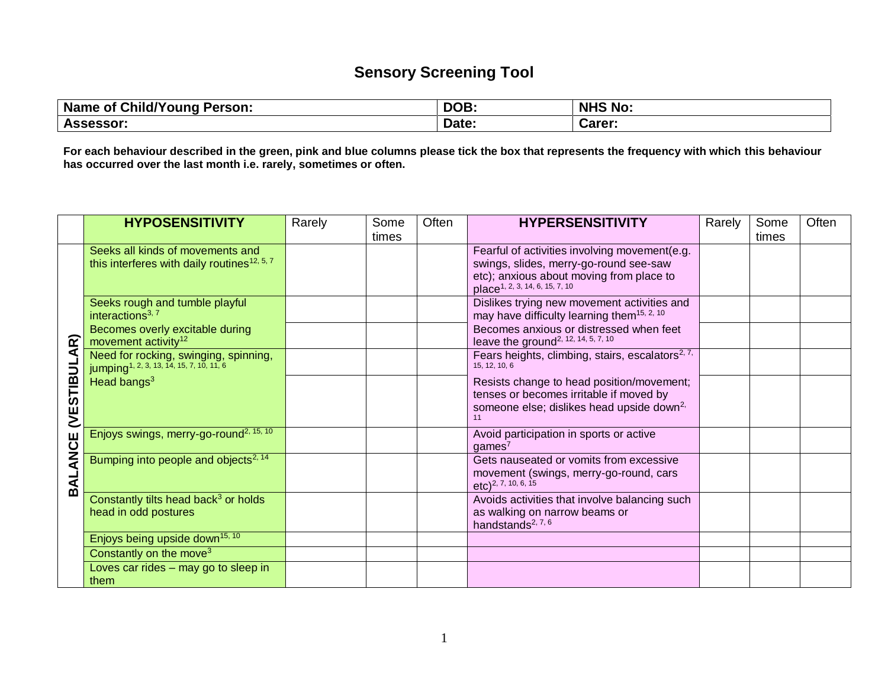## **Sensory Screening Tool**

| Name of Child/Young Person: | DOB.  | <b>NHS No:</b> |
|-----------------------------|-------|----------------|
| <b>Assessor:</b>            | Date: | Carer:         |

**For each behaviour described in the green, pink and blue columns please tick the box that represents the frequency with which this behaviour has occurred over the last month i.e. rarely, sometimes or often.**

|                        | <b>HYPOSENSITIVITY</b>                                                                        | Rarely | Some  | Often | <b>HYPERSENSITIVITY</b>                                                                | Rarely | Some  | Often |
|------------------------|-----------------------------------------------------------------------------------------------|--------|-------|-------|----------------------------------------------------------------------------------------|--------|-------|-------|
|                        |                                                                                               |        | times |       |                                                                                        |        | times |       |
|                        | Seeks all kinds of movements and                                                              |        |       |       | Fearful of activities involving movement(e.g.                                          |        |       |       |
|                        | this interferes with daily routines <sup>12, 5, 7</sup>                                       |        |       |       | swings, slides, merry-go-round see-saw                                                 |        |       |       |
|                        |                                                                                               |        |       |       | etc); anxious about moving from place to<br>place <sup>1, 2, 3, 14, 6, 15, 7, 10</sup> |        |       |       |
|                        | Seeks rough and tumble playful                                                                |        |       |       | Dislikes trying new movement activities and                                            |        |       |       |
|                        | interactions <sup>3, 7</sup>                                                                  |        |       |       | may have difficulty learning them <sup>15, 2, 10</sup>                                 |        |       |       |
|                        | Becomes overly excitable during                                                               |        |       |       | Becomes anxious or distressed when feet                                                |        |       |       |
| $\widehat{\mathbf{z}}$ | movement activity <sup>12</sup>                                                               |        |       |       | leave the ground <sup>2, 12, 14, 5, 7, 10</sup>                                        |        |       |       |
| ⋖                      | Need for rocking, swinging, spinning,<br>jumping <sup>1, 2, 3, 13, 14, 15, 7, 10, 11, 6</sup> |        |       |       | Fears heights, climbing, stairs, escalators <sup>2, 7,</sup><br>15, 12, 10, 6          |        |       |       |
| <b>VESTIBUL</b>        | Head bangs <sup>3</sup>                                                                       |        |       |       | Resists change to head position/movement;                                              |        |       |       |
|                        |                                                                                               |        |       |       | tenses or becomes irritable if moved by                                                |        |       |       |
|                        |                                                                                               |        |       |       | someone else; dislikes head upside down <sup>2,</sup>                                  |        |       |       |
|                        |                                                                                               |        |       |       | 11                                                                                     |        |       |       |
|                        | Enjoys swings, merry-go-round <sup>2, 15, 10</sup>                                            |        |       |       | Avoid participation in sports or active                                                |        |       |       |
|                        |                                                                                               |        |       |       | games <sup>7</sup>                                                                     |        |       |       |
| <b>BALANCE</b>         | Bumping into people and objects <sup>2, 14</sup>                                              |        |       |       | Gets nauseated or vomits from excessive                                                |        |       |       |
|                        |                                                                                               |        |       |       | movement (swings, merry-go-round, cars                                                 |        |       |       |
|                        |                                                                                               |        |       |       | $etc$ ) <sup>2, 7, 10, 6, 15</sup>                                                     |        |       |       |
|                        | Constantly tilts head back <sup>3</sup> or holds                                              |        |       |       | Avoids activities that involve balancing such                                          |        |       |       |
|                        | head in odd postures                                                                          |        |       |       | as walking on narrow beams or                                                          |        |       |       |
|                        |                                                                                               |        |       |       | handstands <sup>2, 7, 6</sup>                                                          |        |       |       |
|                        | Enjoys being upside down <sup>15, 10</sup>                                                    |        |       |       |                                                                                        |        |       |       |
|                        | Constantly on the move <sup>3</sup>                                                           |        |       |       |                                                                                        |        |       |       |
|                        | Loves car rides - may go to sleep in                                                          |        |       |       |                                                                                        |        |       |       |
|                        | them                                                                                          |        |       |       |                                                                                        |        |       |       |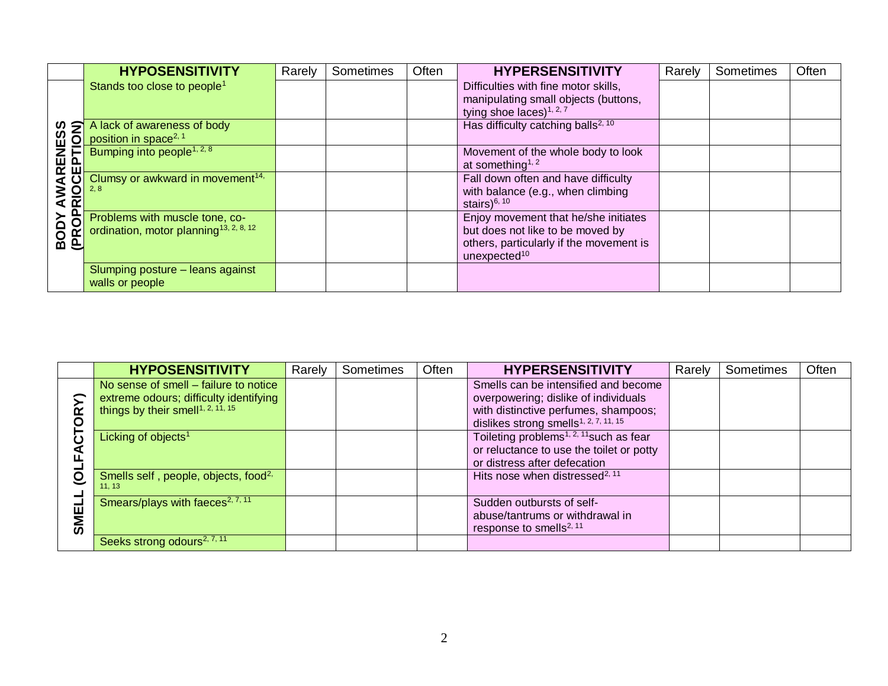|                                             | <b>HYPOSENSITIVITY</b>                                                               | Rarely | Sometimes | Often | <b>HYPERSENSITIVITY</b>                                                                                                                         | Rarely | Sometimes | Often |
|---------------------------------------------|--------------------------------------------------------------------------------------|--------|-----------|-------|-------------------------------------------------------------------------------------------------------------------------------------------------|--------|-----------|-------|
| <b>ARENESS<br/>CEPTION)</b><br>/ AW<br>PRIO | Stands too close to people <sup>1</sup>                                              |        |           |       | Difficulties with fine motor skills,<br>manipulating small objects (buttons,<br>tying shoe laces) $1, 2, 7$                                     |        |           |       |
|                                             | A lack of awareness of body<br>position in space <sup>2, 1</sup>                     |        |           |       | Has difficulty catching balls <sup>2, 10</sup>                                                                                                  |        |           |       |
|                                             | Bumping into people <sup>1, 2, 8</sup>                                               |        |           |       | Movement of the whole body to look<br>at something <sup>1, 2</sup>                                                                              |        |           |       |
|                                             | Clumsy or awkward in movement <sup>14,</sup>                                         |        |           |       | Fall down often and have difficulty<br>with balance (e.g., when climbing<br>stairs) $6, 10$                                                     |        |           |       |
| <b>BODY<br/>(PROP</b>                       | Problems with muscle tone, co-<br>ordination, motor planning <sup>13, 2, 8, 12</sup> |        |           |       | Enjoy movement that he/she initiates<br>but does not like to be moved by<br>others, particularly if the movement is<br>unexpected <sup>10</sup> |        |           |       |
|                                             | Slumping posture - leans against<br>walls or people                                  |        |           |       |                                                                                                                                                 |        |           |       |

|     | <b>HYPOSENSITIVITY</b>                           | Rarely | Sometimes | Often | <b>HYPERSENSITIVITY</b>                             | Rarely | Sometimes | Often |
|-----|--------------------------------------------------|--------|-----------|-------|-----------------------------------------------------|--------|-----------|-------|
|     | No sense of smell – failure to notice            |        |           |       | Smells can be intensified and become                |        |           |       |
|     | extreme odours; difficulty identifying           |        |           |       | overpowering; dislike of individuals                |        |           |       |
|     | things by their smell <sup>1, 2, 11, 15</sup>    |        |           |       | with distinctive perfumes, shampoos;                |        |           |       |
|     |                                                  |        |           |       | dislikes strong smells <sup>1, 2, 7, 11, 15</sup>   |        |           |       |
|     | Licking of objects <sup>1</sup>                  |        |           |       | Toileting problems <sup>1, 2, 11</sup> such as fear |        |           |       |
|     |                                                  |        |           |       | or reluctance to use the toilet or potty            |        |           |       |
|     |                                                  |        |           |       | or distress after defecation                        |        |           |       |
|     | Smells self, people, objects, food <sup>2,</sup> |        |           |       | Hits nose when distressed <sup>2, 11</sup>          |        |           |       |
|     | 11, 13                                           |        |           |       |                                                     |        |           |       |
|     | Smears/plays with faeces $\sqrt{2, 7, 11}$       |        |           |       | Sudden outbursts of self-                           |        |           |       |
|     |                                                  |        |           |       | abuse/tantrums or withdrawal in                     |        |           |       |
| IMS |                                                  |        |           |       | response to smells <sup>2, 11</sup>                 |        |           |       |
|     | Seeks strong odours <sup>2, 7, 11</sup>          |        |           |       |                                                     |        |           |       |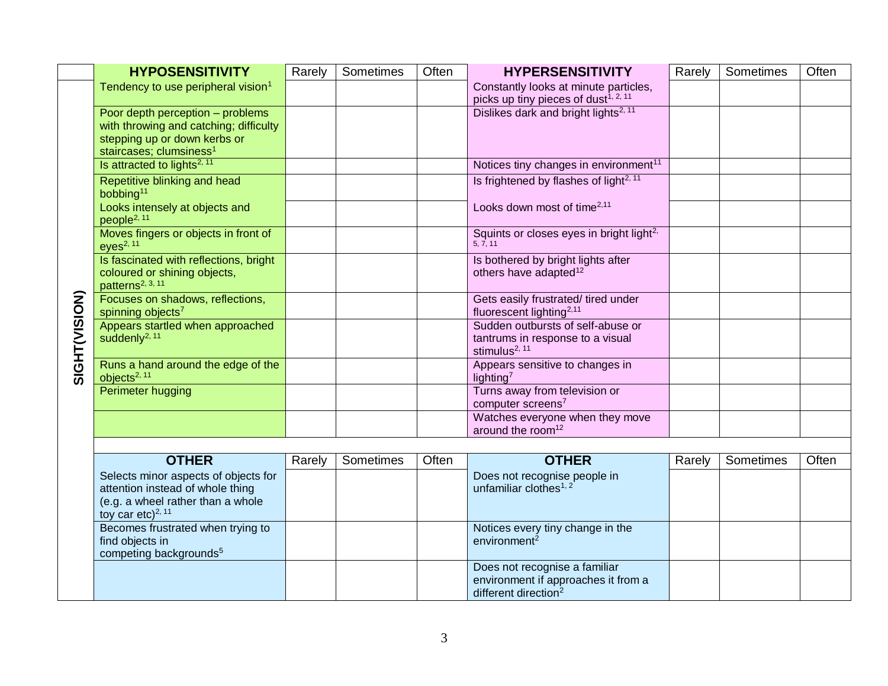|               | <b>HYPOSENSITIVITY</b>                                                                                                                            | Rarely | Sometimes | Often | <b>HYPERSENSITIVITY</b>                                                                      | Rarely | Sometimes | Often |
|---------------|---------------------------------------------------------------------------------------------------------------------------------------------------|--------|-----------|-------|----------------------------------------------------------------------------------------------|--------|-----------|-------|
|               | Tendency to use peripheral vision <sup>1</sup>                                                                                                    |        |           |       | Constantly looks at minute particles,<br>picks up tiny pieces of dust <sup>1, 2, 11</sup>    |        |           |       |
|               | Poor depth perception - problems<br>with throwing and catching; difficulty<br>stepping up or down kerbs or<br>staircases; clumsiness <sup>1</sup> |        |           |       | Dislikes dark and bright lights <sup>2, 11</sup>                                             |        |           |       |
|               | Is attracted to lights <sup>2, 11</sup>                                                                                                           |        |           |       | Notices tiny changes in environment <sup>11</sup>                                            |        |           |       |
|               | Repetitive blinking and head<br>bobbing <sup>11</sup>                                                                                             |        |           |       | Is frightened by flashes of light <sup>2, 11</sup>                                           |        |           |       |
|               | Looks intensely at objects and<br>people <sup>2, 11</sup>                                                                                         |        |           |       | Looks down most of time <sup>2,11</sup>                                                      |        |           |       |
|               | Moves fingers or objects in front of<br>$eyes^{2, 11}$                                                                                            |        |           |       | Squints or closes eyes in bright light <sup>2,</sup><br>5.7.11                               |        |           |       |
|               | Is fascinated with reflections, bright<br>coloured or shining objects,<br>patterns <sup>2, 3, 11</sup>                                            |        |           |       | Is bothered by bright lights after<br>others have adapted <sup>12</sup>                      |        |           |       |
|               | Focuses on shadows, reflections,<br>spinning objects <sup>7</sup>                                                                                 |        |           |       | Gets easily frustrated/ tired under<br>fluorescent lighting <sup>2,11</sup>                  |        |           |       |
| SIGHT(VISION) | Appears startled when approached<br>suddenly <sup>2, 11</sup>                                                                                     |        |           |       | Sudden outbursts of self-abuse or<br>tantrums in response to a visual<br>stimulus $^{2, 11}$ |        |           |       |
|               | Runs a hand around the edge of the<br>objects <sup>2, 11</sup>                                                                                    |        |           |       | Appears sensitive to changes in<br>lighting <sup>7</sup>                                     |        |           |       |
|               | Perimeter hugging                                                                                                                                 |        |           |       | Turns away from television or<br>computer screens <sup>7</sup>                               |        |           |       |
|               |                                                                                                                                                   |        |           |       | Watches everyone when they move<br>around the room <sup>12</sup>                             |        |           |       |
|               |                                                                                                                                                   |        |           |       |                                                                                              |        |           |       |

| <b>OTHER</b>                                                          | Rarely | Sometimes | Often | <b>OTHER</b>                        | Rarely | Sometimes | Often |
|-----------------------------------------------------------------------|--------|-----------|-------|-------------------------------------|--------|-----------|-------|
| Selects minor aspects of objects for                                  |        |           |       | Does not recognise people in        |        |           |       |
| attention instead of whole thing<br>(e.g. a wheel rather than a whole |        |           |       | unfamiliar clothes <sup>1, 2</sup>  |        |           |       |
| toy car etc) <sup>2, 11</sup>                                         |        |           |       |                                     |        |           |       |
| Becomes frustrated when trying to                                     |        |           |       | Notices every tiny change in the    |        |           |       |
| find objects in                                                       |        |           |       | environment <sup>2</sup>            |        |           |       |
| competing backgrounds <sup>5</sup>                                    |        |           |       | Does not recognise a familiar       |        |           |       |
|                                                                       |        |           |       | environment if approaches it from a |        |           |       |
|                                                                       |        |           |       | different direction <sup>2</sup>    |        |           |       |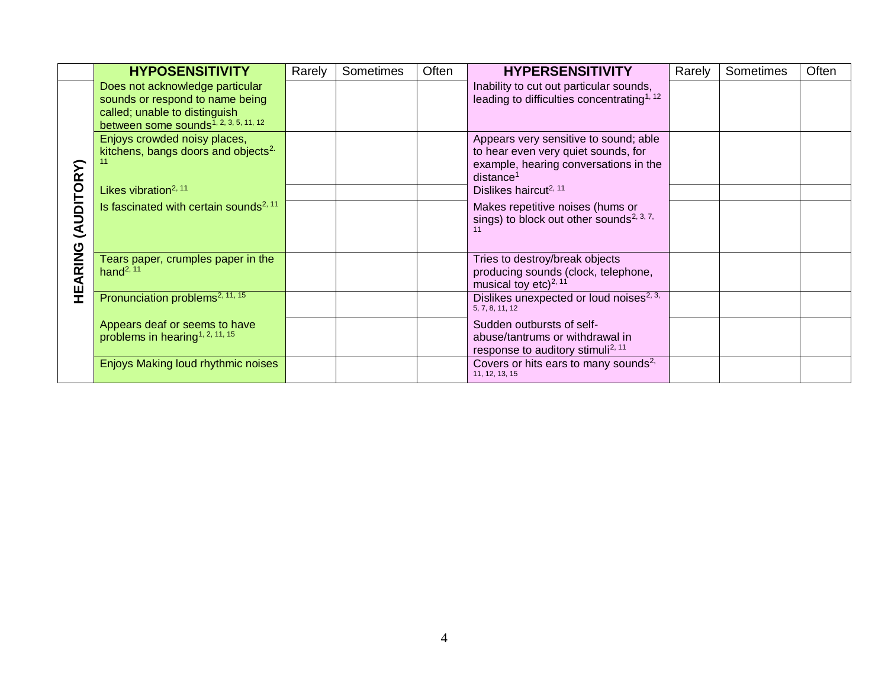|            | <b>HYPOSENSITIVITY</b>                                                                                                                                                | Rarely | Sometimes | Often | <b>HYPERSENSITIVITY</b>                                                                                                                        | Rarely | Sometimes | Often |
|------------|-----------------------------------------------------------------------------------------------------------------------------------------------------------------------|--------|-----------|-------|------------------------------------------------------------------------------------------------------------------------------------------------|--------|-----------|-------|
|            | Does not acknowledge particular<br>sounds or respond to name being<br>called; unable to distinguish<br>between some sounds <sup><math>1, 2, 3, 5, 11, 12</math></sup> |        |           |       | Inability to cut out particular sounds,<br>leading to difficulties concentrating <sup>1, 12</sup>                                              |        |           |       |
|            | Enjoys crowded noisy places,<br>kitchens, bangs doors and objects <sup>2.</sup>                                                                                       |        |           |       | Appears very sensitive to sound; able<br>to hear even very quiet sounds, for<br>example, hearing conversations in the<br>distance <sup>1</sup> |        |           |       |
|            | Likes vibration <sup>2, 11</sup>                                                                                                                                      |        |           |       | Dislikes haircut <sup>2, 11</sup>                                                                                                              |        |           |       |
| (AUDITORY) | Is fascinated with certain sounds <sup>2, 11</sup>                                                                                                                    |        |           |       | Makes repetitive noises (hums or<br>sings) to block out other sounds <sup>2, 3, 7,</sup>                                                       |        |           |       |
| HEARING    | Tears paper, crumples paper in the<br>hand <sup>2, 11</sup>                                                                                                           |        |           |       | Tries to destroy/break objects<br>producing sounds (clock, telephone,<br>musical toy etc) <sup>2, 11</sup>                                     |        |           |       |
|            | Pronunciation problems <sup>2, 11, 15</sup>                                                                                                                           |        |           |       | Dislikes unexpected or loud noises <sup>2, 3,</sup><br>5, 7, 8, 11, 12                                                                         |        |           |       |
|            | Appears deaf or seems to have<br>problems in hearing <sup>1, 2, 11, 15</sup>                                                                                          |        |           |       | Sudden outbursts of self-<br>abuse/tantrums or withdrawal in<br>response to auditory stimuli <sup>2, 11</sup>                                  |        |           |       |
|            | Enjoys Making loud rhythmic noises                                                                                                                                    |        |           |       | Covers or hits ears to many sounds <sup>2,</sup><br>11, 12, 13, 15                                                                             |        |           |       |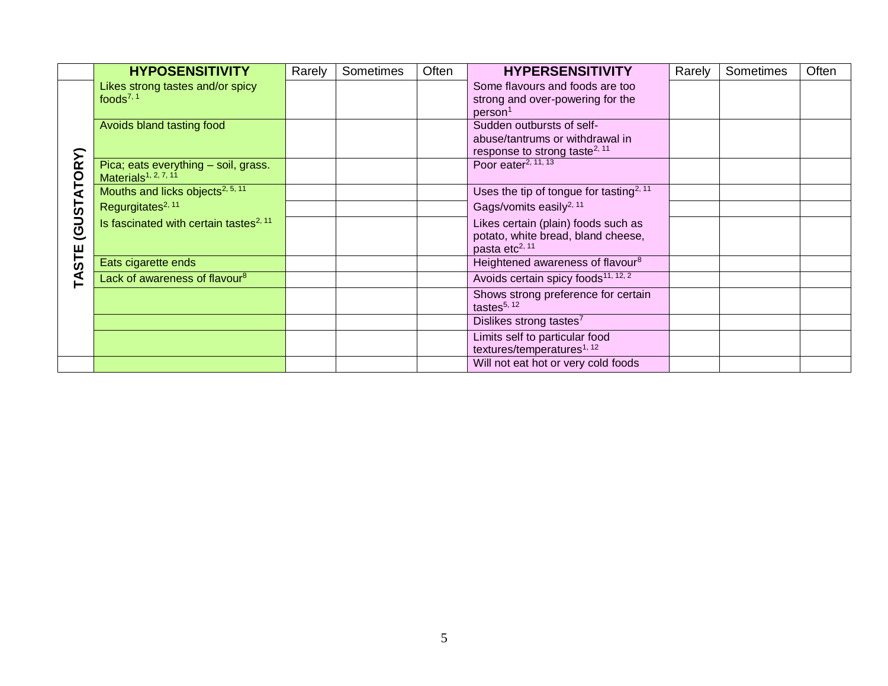|            | <b>HYPOSENSITIVITY</b>                                                   | Rarely | Sometimes | Often | <b>HYPERSENSITIVITY</b>                                                                                   | Rarely | Sometimes | Often |
|------------|--------------------------------------------------------------------------|--------|-----------|-------|-----------------------------------------------------------------------------------------------------------|--------|-----------|-------|
|            | Likes strong tastes and/or spicy<br>foods $^{7, 1}$                      |        |           |       | Some flavours and foods are too<br>strong and over-powering for the<br>person <sup>1</sup>                |        |           |       |
|            | Avoids bland tasting food                                                |        |           |       | Sudden outbursts of self-<br>abuse/tantrums or withdrawal in<br>response to strong taste <sup>2, 11</sup> |        |           |       |
| ATORY)     | Pica; eats everything - soil, grass.<br>Materials <sup>1, 2, 7, 11</sup> |        |           |       | Poor eater <sup>2, <math>\overline{11, 13}</math></sup>                                                   |        |           |       |
|            | Mouths and licks objects <sup>2, 5, 11</sup>                             |        |           |       | Uses the tip of tongue for tasting <sup>2, 11</sup>                                                       |        |           |       |
|            | Regurgitates <sup>2, 11</sup>                                            |        |           |       | Gags/vomits easily <sup>2, 11</sup>                                                                       |        |           |       |
| (GUST)     | Is fascinated with certain tastes <sup>2, 11</sup>                       |        |           |       | Likes certain (plain) foods such as<br>potato, white bread, bland cheese,<br>pasta etc <sup>2, 11</sup>   |        |           |       |
| <b>STE</b> | Eats cigarette ends                                                      |        |           |       | Heightened awareness of flavour <sup>8</sup>                                                              |        |           |       |
| ⋖<br>⊢     | Lack of awareness of flavour <sup>8</sup>                                |        |           |       | Avoids certain spicy foods <sup>11, 12, 2</sup>                                                           |        |           |       |
|            |                                                                          |        |           |       | Shows strong preference for certain<br>tastes $5, 12$                                                     |        |           |       |
|            |                                                                          |        |           |       | Dislikes strong tastes <sup>7</sup>                                                                       |        |           |       |
|            |                                                                          |        |           |       | Limits self to particular food<br>textures/temperatures <sup>1, 12</sup>                                  |        |           |       |
|            |                                                                          |        |           |       | Will not eat hot or very cold foods                                                                       |        |           |       |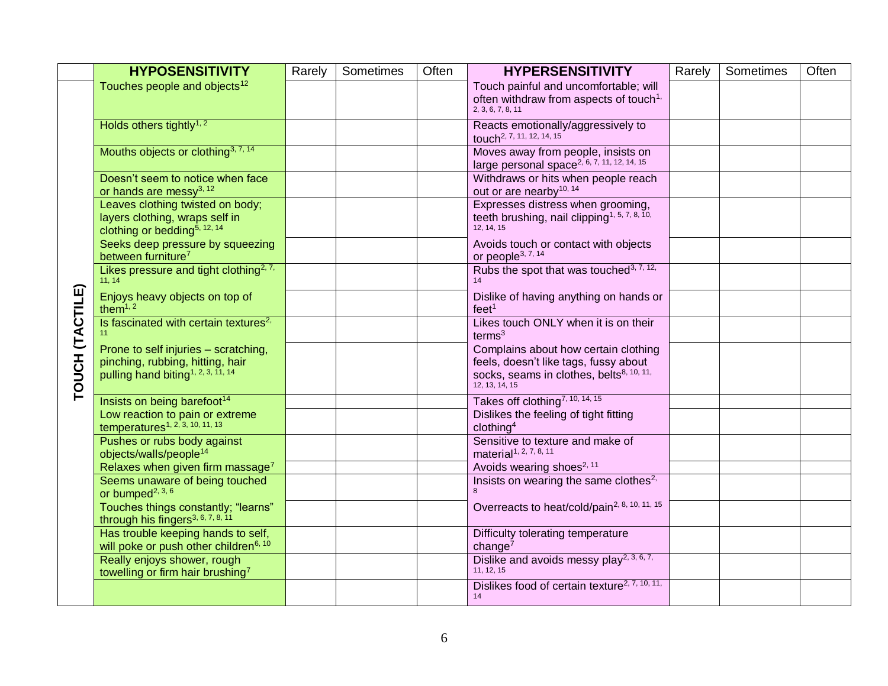|                 | <b>HYPOSENSITIVITY</b>                                                                                                     | Rarely | Sometimes | Often | <b>HYPERSENSITIVITY</b>                                                                                                                                 | Rarely | Sometimes | Often |
|-----------------|----------------------------------------------------------------------------------------------------------------------------|--------|-----------|-------|---------------------------------------------------------------------------------------------------------------------------------------------------------|--------|-----------|-------|
|                 | Touches people and objects <sup>12</sup>                                                                                   |        |           |       | Touch painful and uncomfortable; will<br>often withdraw from aspects of touch <sup>1,</sup><br>2. 3. 6. 7. 8. 11                                        |        |           |       |
|                 | Holds others tightly <sup>1, 2</sup>                                                                                       |        |           |       | Reacts emotionally/aggressively to<br>touch <sup>2, 7, 11, 12, 14, 15</sup>                                                                             |        |           |       |
|                 | Mouths objects or clothing <sup>3, 7, 14</sup>                                                                             |        |           |       | Moves away from people, insists on<br>large personal space <sup>2, 6, 7, 11, 12, 14, 15</sup>                                                           |        |           |       |
|                 | Doesn't seem to notice when face<br>or hands are messy <sup>3, 12</sup>                                                    |        |           |       | Withdraws or hits when people reach<br>out or are nearby <sup>10, 14</sup>                                                                              |        |           |       |
|                 | Leaves clothing twisted on body;<br>layers clothing, wraps self in<br>clothing or bedding <sup>5, 12, 14</sup>             |        |           |       | Expresses distress when grooming,<br>teeth brushing, nail clipping <sup>1, 5, 7, 8, 10,</sup><br>12, 14, 15                                             |        |           |       |
|                 | Seeks deep pressure by squeezing<br>between furniture <sup>7</sup>                                                         |        |           |       | Avoids touch or contact with objects<br>or people <sup>3, 7, 14</sup>                                                                                   |        |           |       |
|                 | Likes pressure and tight clothing <sup>2, 7,</sup><br>11, 14                                                               |        |           |       | Rubs the spot that was touched <sup>3, 7, 12,</sup><br>14                                                                                               |        |           |       |
| TOUCH (TACTILE) | Enjoys heavy objects on top of<br>them $1, 2$                                                                              |        |           |       | Dislike of having anything on hands or<br>feet <sup>1</sup>                                                                                             |        |           |       |
|                 | Is fascinated with certain textures <sup>2,</sup>                                                                          |        |           |       | Likes touch ONLY when it is on their<br>terms <sup>3</sup>                                                                                              |        |           |       |
|                 | Prone to self injuries - scratching,<br>pinching, rubbing, hitting, hair<br>pulling hand biting <sup>1, 2, 3, 11, 14</sup> |        |           |       | Complains about how certain clothing<br>feels, doesn't like tags, fussy about<br>socks, seams in clothes, belts <sup>8, 10, 11,</sup><br>12, 13, 14, 15 |        |           |       |
|                 | Insists on being barefoot <sup>14</sup>                                                                                    |        |           |       | Takes off clothing <sup>7, 10, 14, 15</sup>                                                                                                             |        |           |       |
|                 | Low reaction to pain or extreme<br>temperatures <sup>1, 2, 3, 10, 11, 13</sup>                                             |        |           |       | Dislikes the feeling of tight fitting<br>clothing <sup>4</sup>                                                                                          |        |           |       |
|                 | Pushes or rubs body against<br>objects/walls/people <sup>14</sup>                                                          |        |           |       | Sensitive to texture and make of<br>material <sup>1, 2, 7, 8, 11</sup>                                                                                  |        |           |       |
|                 | Relaxes when given firm massage <sup>7</sup>                                                                               |        |           |       | Avoids wearing shoes <sup>2, 11</sup>                                                                                                                   |        |           |       |
|                 | Seems unaware of being touched<br>or bumped <sup>2, 3, 6</sup>                                                             |        |           |       | Insists on wearing the same clothes <sup>2,</sup>                                                                                                       |        |           |       |
|                 | Touches things constantly; "learns"<br>through his fingers <sup>3, 6, 7, 8, 11</sup>                                       |        |           |       | Overreacts to heat/cold/pain <sup>2, 8, 10, 11, 15</sup>                                                                                                |        |           |       |
|                 | Has trouble keeping hands to self,<br>will poke or push other children <sup>6, 10</sup>                                    |        |           |       | Difficulty tolerating temperature<br>change $7$                                                                                                         |        |           |       |
|                 | Really enjoys shower, rough<br>towelling or firm hair brushing <sup>7</sup>                                                |        |           |       | Dislike and avoids messy play <sup>2, 3, 6, 7,</sup><br>11, 12, 15                                                                                      |        |           |       |
|                 |                                                                                                                            |        |           |       | Dislikes food of certain texture <sup>2, 7, 10, 11,</sup><br>14                                                                                         |        |           |       |